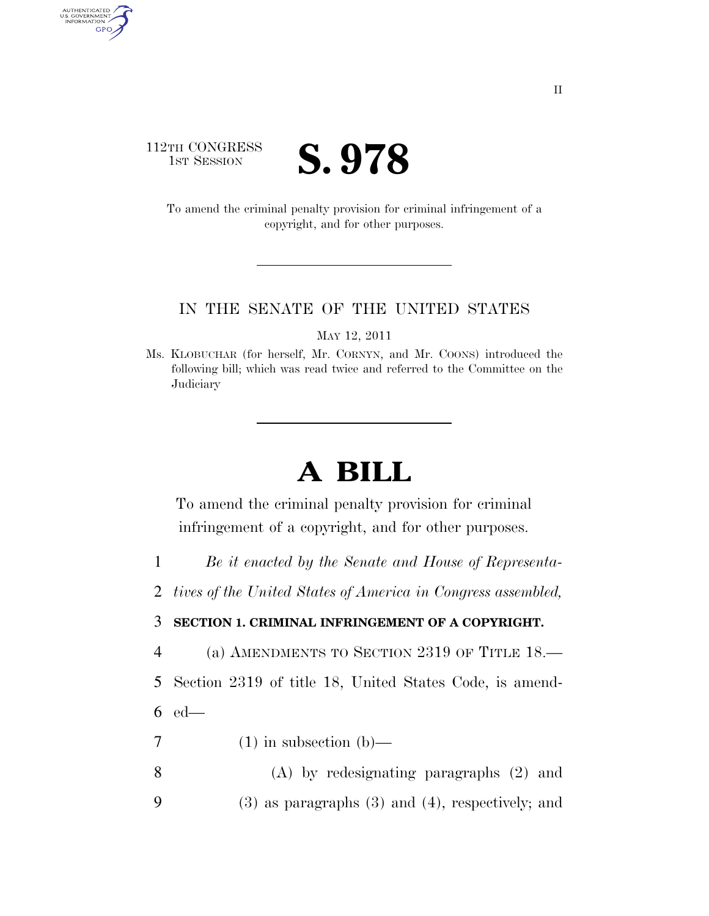## 112TH CONGRESS **IST SESSION S. 978**

AUTHENTICATED<br>U.S. GOVERNMENT<br>INFORMATION GPO

> To amend the criminal penalty provision for criminal infringement of a copyright, and for other purposes.

## IN THE SENATE OF THE UNITED STATES

MAY 12, 2011

Ms. KLOBUCHAR (for herself, Mr. CORNYN, and Mr. COONS) introduced the following bill; which was read twice and referred to the Committee on the **Judiciary** 

## **A BILL**

To amend the criminal penalty provision for criminal infringement of a copyright, and for other purposes.

- 1 *Be it enacted by the Senate and House of Representa-*
- 2 *tives of the United States of America in Congress assembled,*

## 3 **SECTION 1. CRIMINAL INFRINGEMENT OF A COPYRIGHT.**

- 4 (a) AMENDMENTS TO SECTION 2319 OF TITLE 18.—
- 5 Section 2319 of title 18, United States Code, is amend-6 ed—
- 7 (1) in subsection (b)—
- 8 (A) by redesignating paragraphs (2) and 9 (3) as paragraphs (3) and (4), respectively; and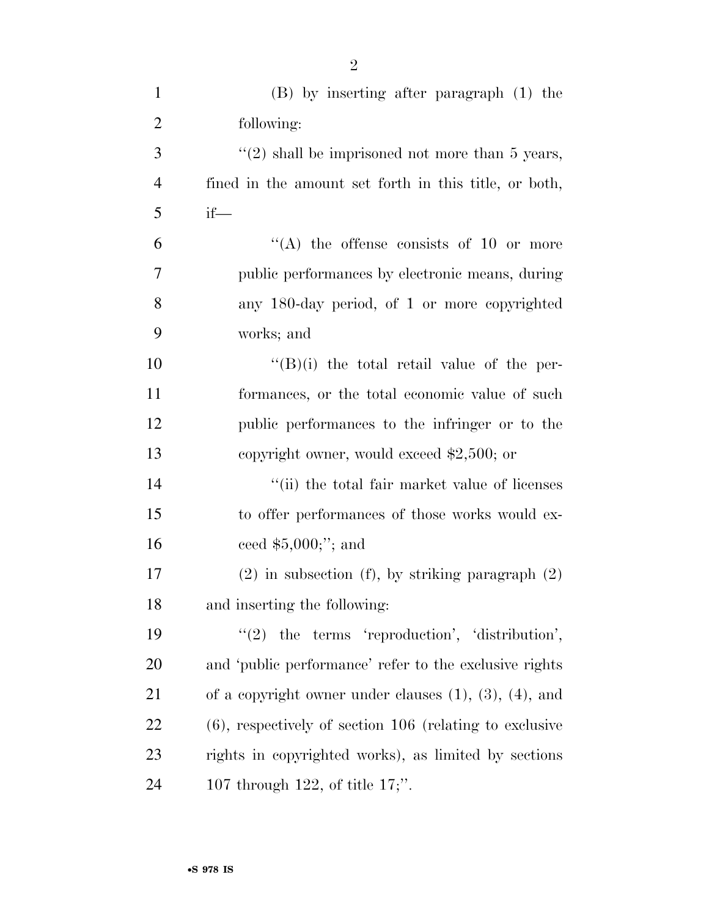| $\mathbf{1}$   | (B) by inserting after paragraph (1) the                       |
|----------------|----------------------------------------------------------------|
| $\overline{2}$ | following:                                                     |
| 3              | $\lq(2)$ shall be imprisoned not more than 5 years,            |
| $\overline{4}$ | fined in the amount set forth in this title, or both,          |
| 5              | $if$ —                                                         |
| 6              | "(A) the offense consists of 10 or more                        |
| 7              | public performances by electronic means, during                |
| 8              | any 180-day period, of 1 or more copyrighted                   |
| 9              | works; and                                                     |
| 10             | $\lq\lq (B)(i)$ the total retail value of the per-             |
| 11             | formances, or the total economic value of such                 |
| 12             | public performances to the infringer or to the                 |
| 13             | copyright owner, would exceed $$2,500$ ; or                    |
| 14             | "(ii) the total fair market value of licenses                  |
| 15             | to offer performances of those works would ex-                 |
| 16             | ceed $$5,000$ ;"; and                                          |
| 17             | $(2)$ in subsection (f), by striking paragraph $(2)$           |
| 18             | and inserting the following:                                   |
| 19             | $"(2)$ the terms 'reproduction', 'distribution',               |
| <b>20</b>      | and 'public performance' refer to the exclusive rights         |
| 21             | of a copyright owner under clauses $(1)$ , $(3)$ , $(4)$ , and |
| 22             | $(6)$ , respectively of section 106 (relating to exclusive     |
| 23             | rights in copyrighted works), as limited by sections           |
| 24             | 107 through 122, of title $17$ ;".                             |